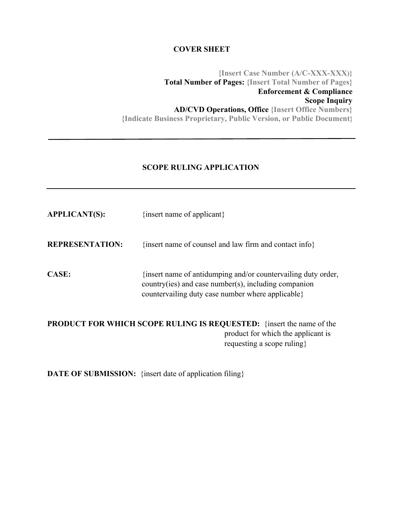### **COVER SHEET**

**{Insert Case Number (A/C-XXX-XXX)} Total Number of Pages: {Insert Total Number of Pages} Enforcement & Compliance Scope Inquiry AD/CVD Operations, Office {Insert Office Numbers} {Indicate Business Proprietary, Public Version, or Public Document}**

#### **SCOPE RULING APPLICATION**

| <b>APPLICANT(S):</b>   | {insert name of applicant}                                                                                                                                                    |
|------------------------|-------------------------------------------------------------------------------------------------------------------------------------------------------------------------------|
| <b>REPRESENTATION:</b> | {insert name of counsel and law firm and contact info}                                                                                                                        |
| CASE:                  | {insert name of antidumping and/or countervailing duty order,<br>$country(ies)$ and case number(s), including companion<br>countervailing duty case number where applicable } |

**PRODUCT FOR WHICH SCOPE RULING IS REQUESTED:** {insert the name of the product for which the applicant is requesting a scope ruling}

**DATE OF SUBMISSION:** {insert date of application filing}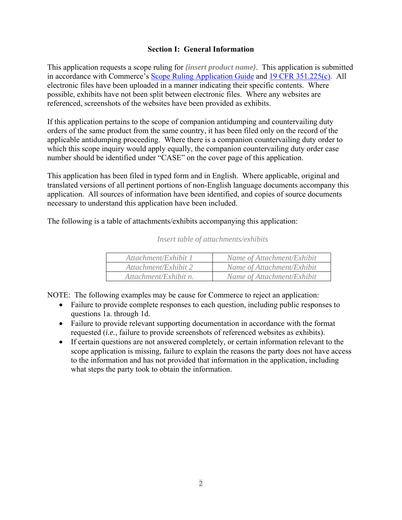### **Section I: General Information**

This application requests a scope ruling for *{insert product name}*. This application is submitted in accordance with Commerce's Scope Ruling Application Guide and 19 CFR 351.225(c). All electronic files have been uploaded in a manner indicating their specific contents. Where possible, exhibits have not been split between electronic files. Where any websites are referenced, screenshots of the websites have been provided as exhibits.

If this application pertains to the scope of companion antidumping and countervailing duty orders of the same product from the same country, it has been filed only on the record of the applicable antidumping proceeding. Where there is a companion countervailing duty order to which this scope inquiry would apply equally, the companion countervailing duty order case number should be identified under "CASE" on the cover page of this application.

This application has been filed in typed form and in English. Where applicable, original and translated versions of all pertinent portions of non-English language documents accompany this application. All sources of information have been identified, and copies of source documents necessary to understand this application have been included.

The following is a table of attachments/exhibits accompanying this application:

| Attachment/Exhibit 1  | Name of Attachment/Exhibit |
|-----------------------|----------------------------|
| Attachment/Exhibit 2  | Name of Attachment/Exhibit |
| Attachment/Exhibit n. | Name of Attachment/Exhibit |

*Insert table of attachments/exhibits* 

NOTE: The following examples may be cause for Commerce to reject an application:

- Failure to provide complete responses to each question, including public responses to questions 1a. through 1d.
- Failure to provide relevant supporting documentation in accordance with the format requested (*i.e.*, failure to provide screenshots of referenced websites as exhibits).
- If certain questions are not answered completely, or certain information relevant to the scope application is missing, failure to explain the reasons the party does not have access to the information and has not provided that information in the application, including what steps the party took to obtain the information.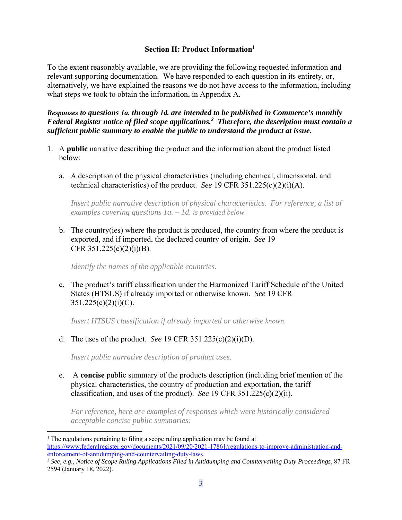### **Section II: Product Information1**

To the extent reasonably available, we are providing the following requested information and relevant supporting documentation. We have responded to each question in its entirety, or, alternatively, we have explained the reasons we do not have access to the information, including what steps we took to obtain the information, in Appendix A.

*Responses to questions 1a. through 1d. are intended to be published in Commerce's monthly Federal Register notice of filed scope applications.2 Therefore, the description must contain a sufficient public summary to enable the public to understand the product at issue.* 

- 1. A **public** narrative describing the product and the information about the product listed below:
	- a. A description of the physical characteristics (including chemical, dimensional, and technical characteristics) of the product. *See* 19 CFR 351.225(c)(2)(i)(A).

*Insert public narrative description of physical characteristics. For reference, a list of examples covering questions 1a. – 1d. is provided below.*

b. The country(ies) where the product is produced, the country from where the product is exported, and if imported, the declared country of origin. *See* 19 CFR  $351.225(c)(2)(i)(B)$ .

*Identify the names of the applicable countries.* 

c. The product's tariff classification under the Harmonized Tariff Schedule of the United States (HTSUS) if already imported or otherwise known. *See* 19 CFR  $351.225(c)(2)(i)(C)$ .

*Insert HTSUS classification if already imported or otherwise known.* 

d. The uses of the product. *See* 19 CFR 351.225(c)(2)(i)(D).

*Insert public narrative description of product uses.* 

e. A **concise** public summary of the products description (including brief mention of the physical characteristics, the country of production and exportation, the tariff classification, and uses of the product). *See* 19 CFR 351.225(c)(2)(ii).

*For reference, here are examples of responses which were historically considered acceptable concise public summaries:* 

 $1$ . The regulations pertaining to filing a scope ruling application may be found at https://www.federalregister.gov/documents/2021/09/20/2021-17861/regulations-to-improve-administration-andenforcement-of-antidumping-and-countervailing-duty-laws.

<sup>2</sup> *See, e.g.*, *Notice of Scope Ruling Applications Filed in Antidumping and Countervailing Duty Proceedings*, 87 FR 2594 (January 18, 2022).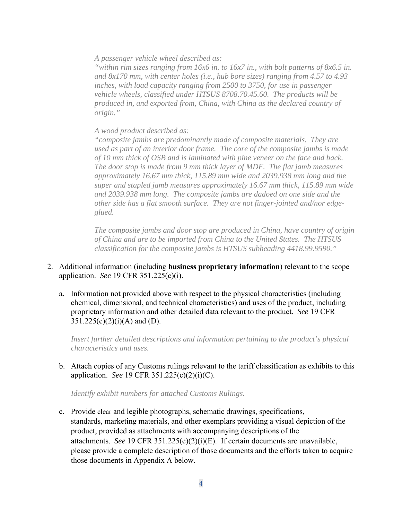*A passenger vehicle wheel described as:* 

*"within rim sizes ranging from 16x6 in. to 16x7 in., with bolt patterns of 8x6.5 in. and 8x170 mm, with center holes (i.e., hub bore sizes) ranging from 4.57 to 4.93 inches, with load capacity ranging from 2500 to 3750, for use in passenger vehicle wheels, classified under HTSUS 8708.70.45.60. The products will be produced in, and exported from, China, with China as the declared country of origin."* 

#### *A wood product described as:*

*"composite jambs are predominantly made of composite materials. They are used as part of an interior door frame. The core of the composite jambs is made of 10 mm thick of OSB and is laminated with pine veneer on the face and back. The door stop is made from 9 mm thick layer of MDF. The flat jamb measures approximately 16.67 mm thick, 115.89 mm wide and 2039.938 mm long and the super and stapled jamb measures approximately 16.67 mm thick, 115.89 mm wide and 2039.938 mm long. The composite jambs are dadoed on one side and the other side has a flat smooth surface. They are not finger-jointed and/nor edgeglued.* 

*The composite jambs and door stop are produced in China, have country of origin of China and are to be imported from China to the United States. The HTSUS classification for the composite jambs is HTSUS subheading 4418.99.9590."*

- 2. Additional information (including **business proprietary information**) relevant to the scope application. *See* 19 CFR 351.225(c)(i).
	- a. Information not provided above with respect to the physical characteristics (including chemical, dimensional, and technical characteristics) and uses of the product, including proprietary information and other detailed data relevant to the product. *See* 19 CFR  $351.225(c)(2)(i)(A)$  and (D).

*Insert further detailed descriptions and information pertaining to the product's physical characteristics and uses.* 

b. Attach copies of any Customs rulings relevant to the tariff classification as exhibits to this application. *See* 19 CFR 351.225(c)(2)(i)(C).

*Identify exhibit numbers for attached Customs Rulings.* 

c. Provide clear and legible photographs, schematic drawings, specifications, standards, marketing materials, and other exemplars providing a visual depiction of the product, provided as attachments with accompanying descriptions of the attachments. *See* 19 CFR 351.225(c)(2)(i)(E). If certain documents are unavailable, please provide a complete description of those documents and the efforts taken to acquire those documents in Appendix A below.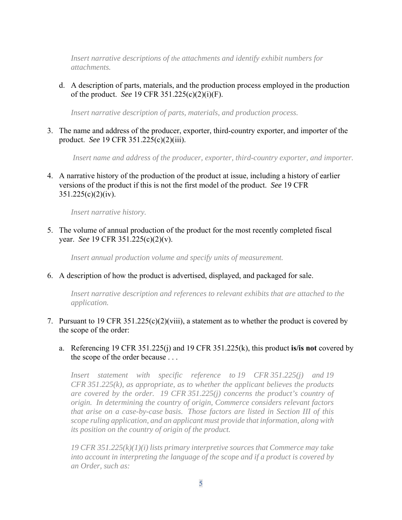*Insert narrative descriptions of the attachments and identify exhibit numbers for attachments.* 

d. A description of parts, materials, and the production process employed in the production of the product. *See* 19 CFR 351.225(c)(2)(i)(F).

*Insert narrative description of parts, materials, and production process.* 

3. The name and address of the producer, exporter, third-country exporter, and importer of the product. *See* 19 CFR 351.225(c)(2)(iii).

 *Insert name and address of the producer, exporter, third-country exporter, and importer.* 

4. A narrative history of the production of the product at issue, including a history of earlier versions of the product if this is not the first model of the product. *See* 19 CFR  $351.225(c)(2)(iv)$ .

*Insert narrative history.* 

5. The volume of annual production of the product for the most recently completed fiscal year. *See* 19 CFR 351.225(c)(2)(v).

*Insert annual production volume and specify units of measurement.* 

6. A description of how the product is advertised, displayed, and packaged for sale.

*Insert narrative description and references to relevant exhibits that are attached to the application.*

- 7. Pursuant to 19 CFR 351.225(c)(2)(viii), a statement as to whether the product is covered by the scope of the order:
	- a. Referencing 19 CFR 351.225(j) and 19 CFR 351.225(k), this product **is/is not** covered by the scope of the order because . . .

*Insert statement with specific reference to 19 CFR 351.225(j) and 19 CFR 351.225(k), as appropriate, as to whether the applicant believes the products are covered by the order. 19 CFR 351.225(j) concerns the product's country of origin. In determining the country of origin, Commerce considers relevant factors that arise on a case-by-case basis. Those factors are listed in Section III of this scope ruling application, and an applicant must provide that information, along with its position on the country of origin of the product.* 

*19 CFR 351.225(k)(1)(i) lists primary interpretive sources that Commerce may take into account in interpreting the language of the scope and if a product is covered by an Order, such as:*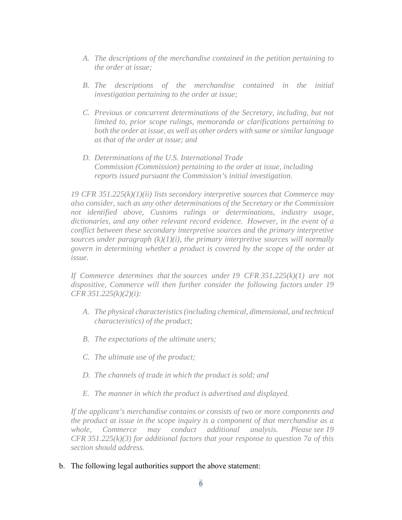- *A. The descriptions of the merchandise contained in the petition pertaining to the order at issue;*
- *B. The descriptions of the merchandise contained in the initial investigation pertaining to the order at issue;*
- *C. Previous or concurrent determinations of the Secretary, including, but not limited to, prior scope rulings, memoranda or clarifications pertaining to both the order at issue, as well as other orders with same or similar language as that of the order at issue; and*
- *D. Determinations of the U.S. International Trade Commission (Commission) pertaining to the order at issue, including reports issued pursuant the Commission's initial investigation.*

*19 CFR 351.225(k)(1)(ii) lists secondary interpretive sources that Commerce may also consider, such as any other determinations of the Secretary or the Commission not identified above, Customs rulings or determinations, industry usage, dictionaries, and any other relevant record evidence. However, in the event of a conflict between these secondary interpretive sources and the primary interpretive sources under paragraph (k)(1)(i), the primary interpretive sources will normally govern in determining whether a product is covered by the scope of the order at issue.* 

*If Commerce determines that the sources under 19 CFR 351.225(k)(1) are not dispositive, Commerce will then further consider the following factors under 19 CFR 351.225(k)(2)(i):* 

- *A. The physical characteristics (including chemical, dimensional, and technical characteristics) of the product;*
- *B. The expectations of the ultimate users;*
- *C. The ultimate use of the product;*
- *D. The channels of trade in which the product is sold; and*
- *E. The manner in which the product is advertised and displayed.*

*If the applicant's merchandise contains or consists of two or more components and the product at issue in the scope inquiry is a component of that merchandise as a whole, Commerce may conduct additional analysis. Please see 19 CFR 351.225(k)(3) for additional factors that your response to question 7a of this section should address.* 

b. The following legal authorities support the above statement: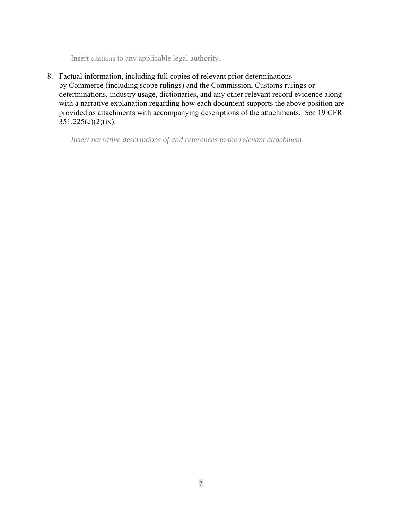Insert citations to any applicable legal authority.

8. Factual information, including full copies of relevant prior determinations by Commerce (including scope rulings) and the Commission, Customs rulings or determinations, industry usage, dictionaries, and any other relevant record evidence along with a narrative explanation regarding how each document supports the above position are provided as attachments with accompanying descriptions of the attachments. *See* 19 CFR  $351.225(c)(2)(ix)$ .

*Insert narrative descriptions of and references to the relevant attachment.*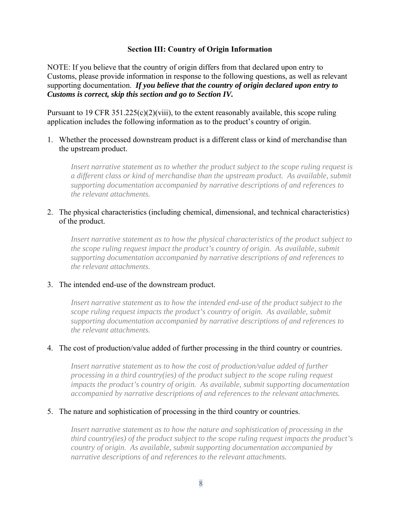### **Section III: Country of Origin Information**

NOTE: If you believe that the country of origin differs from that declared upon entry to Customs, please provide information in response to the following questions, as well as relevant supporting documentation. *If you believe that the country of origin declared upon entry to Customs is correct, skip this section and go to Section IV.*

Pursuant to 19 CFR 351.225(c)(2)(viii), to the extent reasonably available, this scope ruling application includes the following information as to the product's country of origin.

1. Whether the processed downstream product is a different class or kind of merchandise than the upstream product.

*Insert narrative statement as to whether the product subject to the scope ruling request is a different class or kind of merchandise than the upstream product. As available, submit supporting documentation accompanied by narrative descriptions of and references to the relevant attachments.* 

### 2. The physical characteristics (including chemical, dimensional, and technical characteristics) of the product.

*Insert narrative statement as to how the physical characteristics of the product subject to the scope ruling request impact the product's country of origin. As available, submit supporting documentation accompanied by narrative descriptions of and references to the relevant attachments.* 

#### 3. The intended end-use of the downstream product.

Insert narrative statement as to how the intended end-use of the product subject to the *scope ruling request impacts the product's country of origin. As available, submit supporting documentation accompanied by narrative descriptions of and references to the relevant attachments.* 

#### 4. The cost of production/value added of further processing in the third country or countries.

*Insert narrative statement as to how the cost of production/value added of further processing in a third country(ies) of the product subject to the scope ruling request impacts the product's country of origin. As available, submit supporting documentation accompanied by narrative descriptions of and references to the relevant attachments.* 

#### 5. The nature and sophistication of processing in the third country or countries.

*Insert narrative statement as to how the nature and sophistication of processing in the third country(ies) of the product subject to the scope ruling request impacts the product's country of origin. As available, submit supporting documentation accompanied by narrative descriptions of and references to the relevant attachments.*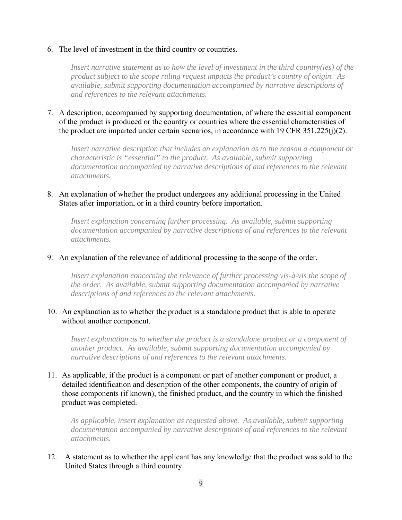#### 6. The level of investment in the third country or countries.

*Insert narrative statement as to how the level of investment in the third country(ies) of the product subject to the scope ruling request impacts the product's country of origin. As available, submit supporting documentation accompanied by narrative descriptions of and references to the relevant attachments.* 

7. A description, accompanied by supporting documentation, of where the essential component of the product is produced or the country or countries where the essential characteristics of the product are imparted under certain scenarios, in accordance with 19 CFR 351.225(j)(2).

*Insert narrative description that includes an explanation as to the reason a component or characteristic is "essential" to the product. As available, submit supporting documentation accompanied by narrative descriptions of and references to the relevant attachments.* 

8. An explanation of whether the product undergoes any additional processing in the United States after importation, or in a third country before importation.

*Insert explanation concerning further processing. As available, submit supporting documentation accompanied by narrative descriptions of and references to the relevant attachments.* 

#### 9. An explanation of the relevance of additional processing to the scope of the order.

*Insert explanation concerning the relevance of further processing vis-à-vis the scope of the order. As available, submit supporting documentation accompanied by narrative descriptions of and references to the relevant attachments.* 

#### 10. An explanation as to whether the product is a standalone product that is able to operate without another component.

*Insert explanation as to whether the product is a standalone product or a component of another product. As available, submit supporting documentation accompanied by narrative descriptions of and references to the relevant attachments.* 

11. As applicable, if the product is a component or part of another component or product, a detailed identification and description of the other components, the country of origin of those components (if known), the finished product, and the country in which the finished product was completed.

*As applicable, insert explanation as requested above. As available, submit supporting documentation accompanied by narrative descriptions of and references to the relevant attachments.*

12. A statement as to whether the applicant has any knowledge that the product was sold to the United States through a third country.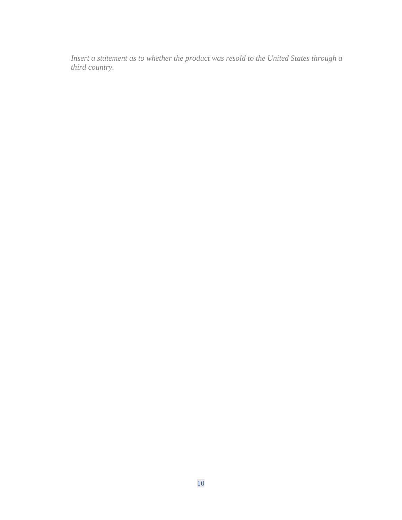*Insert a statement as to whether the product was resold to the United States through a third country.*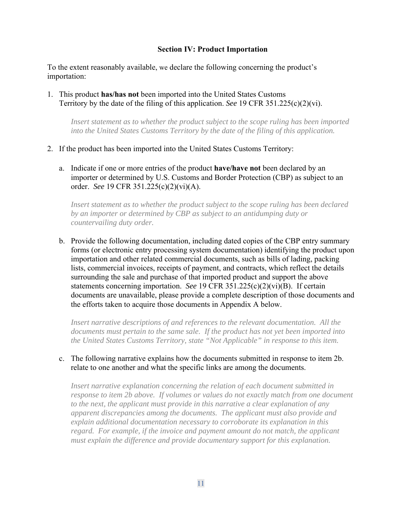#### **Section IV: Product Importation**

To the extent reasonably available, we declare the following concerning the product's importation:

1. This product **has/has not** been imported into the United States Customs Territory by the date of the filing of this application. *See* 19 CFR 351.225(c)(2)(vi).

*Insert statement as to whether the product subject to the scope ruling has been imported into the United States Customs Territory by the date of the filing of this application.* 

- 2. If the product has been imported into the United States Customs Territory:
	- a. Indicate if one or more entries of the product **have/have not** been declared by an importer or determined by U.S. Customs and Border Protection (CBP) as subject to an order. *See* 19 CFR 351.225(c)(2)(vi)(A).

*Insert statement as to whether the product subject to the scope ruling has been declared by an importer or determined by CBP as subject to an antidumping duty or countervailing duty order.*

b. Provide the following documentation, including dated copies of the CBP entry summary forms (or electronic entry processing system documentation) identifying the product upon importation and other related commercial documents, such as bills of lading, packing lists, commercial invoices, receipts of payment, and contracts, which reflect the details surrounding the sale and purchase of that imported product and support the above statements concerning importation. *See* 19 CFR 351.225(c)(2)(vi)(B). If certain documents are unavailable, please provide a complete description of those documents and the efforts taken to acquire those documents in Appendix A below.

*Insert narrative descriptions of and references to the relevant documentation. All the documents must pertain to the same sale. If the product has not yet been imported into the United States Customs Territory, state "Not Applicable" in response to this item.* 

c. The following narrative explains how the documents submitted in response to item 2b. relate to one another and what the specific links are among the documents.

*Insert narrative explanation concerning the relation of each document submitted in response to item 2b above. If volumes or values do not exactly match from one document to the next, the applicant must provide in this narrative a clear explanation of any apparent discrepancies among the documents. The applicant must also provide and explain additional documentation necessary to corroborate its explanation in this*  regard. For example, if the invoice and payment amount do not match, the applicant *must explain the difference and provide documentary support for this explanation.*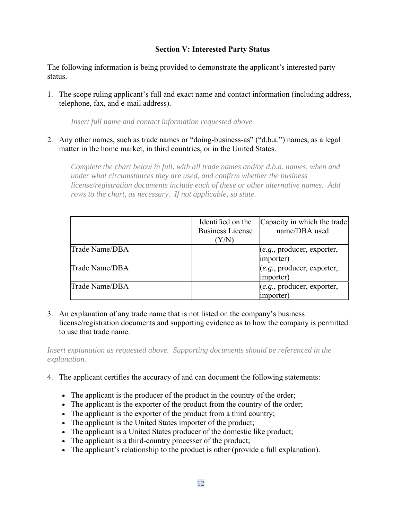# **Section V: Interested Party Status**

The following information is being provided to demonstrate the applicant's interested party status.

1. The scope ruling applicant's full and exact name and contact information (including address, telephone, fax, and e-mail address).

*Insert full name and contact information requested above* 

2. Any other names, such as trade names or "doing-business-as" ("d.b.a.") names, as a legal matter in the home market, in third countries, or in the United States.

*Complete the chart below in full, with all trade names and/or d.b.a. names, when and under what circumstances they are used, and confirm whether the business license/registration documents include each of these or other alternative names. Add rows to the chart, as necessary. If not applicable, so state.* 

|                | Identified on the<br><b>Business License</b><br>(Y/N) | Capacity in which the trade<br>name/DBA used |
|----------------|-------------------------------------------------------|----------------------------------------------|
| Trade Name/DBA |                                                       | (e.g., producer, exporter,<br>importer)      |
| Trade Name/DBA |                                                       | (e.g., producer, exporter,<br>importer)      |
| Trade Name/DBA |                                                       | (e.g., producer, exporter,<br>importer)      |

3. An explanation of any trade name that is not listed on the company's business license/registration documents and supporting evidence as to how the company is permitted to use that trade name.

*Insert explanation as requested above. Supporting documents should be referenced in the explanation.* 

- 4. The applicant certifies the accuracy of and can document the following statements:
	- The applicant is the producer of the product in the country of the order;
	- The applicant is the exporter of the product from the country of the order;
	- The applicant is the exporter of the product from a third country;
	- The applicant is the United States importer of the product;
	- The applicant is a United States producer of the domestic like product;
	- The applicant is a third-country processer of the product;
	- The applicant's relationship to the product is other (provide a full explanation).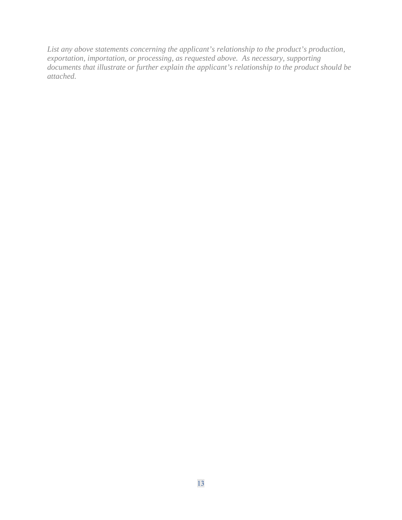*List any above statements concerning the applicant's relationship to the product's production, exportation, importation, or processing, as requested above. As necessary, supporting documents that illustrate or further explain the applicant's relationship to the product should be attached.*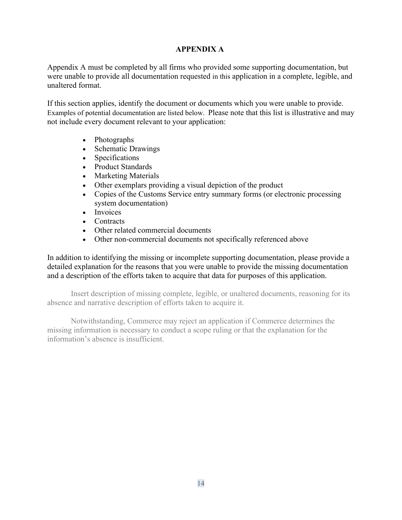# **APPENDIX A**

Appendix A must be completed by all firms who provided some supporting documentation, but were unable to provide all documentation requested in this application in a complete, legible, and unaltered format.

If this section applies, identify the document or documents which you were unable to provide. Examples of potential documentation are listed below. Please note that this list is illustrative and may not include every document relevant to your application:

- Photographs
- Schematic Drawings
- Specifications
- Product Standards
- Marketing Materials
- Other exemplars providing a visual depiction of the product
- Copies of the Customs Service entry summary forms (or electronic processing system documentation)
- Invoices
- Contracts
- Other related commercial documents
- Other non-commercial documents not specifically referenced above

In addition to identifying the missing or incomplete supporting documentation, please provide a detailed explanation for the reasons that you were unable to provide the missing documentation and a description of the efforts taken to acquire that data for purposes of this application.

Insert description of missing complete, legible, or unaltered documents, reasoning for its absence and narrative description of efforts taken to acquire it.

Notwithstanding, Commerce may reject an application if Commerce determines the missing information is necessary to conduct a scope ruling or that the explanation for the information's absence is insufficient.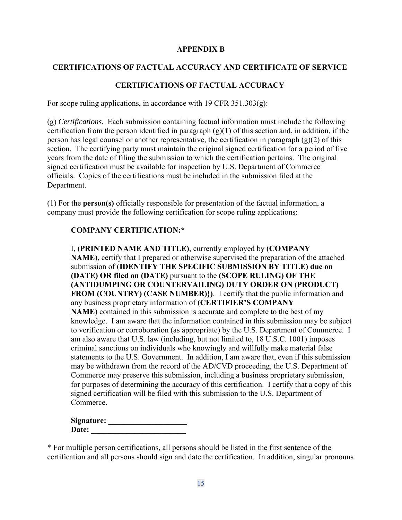# **APPENDIX B**

# **CERTIFICATIONS OF FACTUAL ACCURACY AND CERTIFICATE OF SERVICE**

# **CERTIFICATIONS OF FACTUAL ACCURACY**

For scope ruling applications, in accordance with 19 CFR  $351.303(g)$ :

(g) *Certifications.* Each submission containing factual information must include the following certification from the person identified in paragraph  $(g)(1)$  of this section and, in addition, if the person has legal counsel or another representative, the certification in paragraph  $(g)(2)$  of this section. The certifying party must maintain the original signed certification for a period of five years from the date of filing the submission to which the certification pertains. The original signed certification must be available for inspection by U.S. Department of Commerce officials. Copies of the certifications must be included in the submission filed at the Department.

(1) For the **person(s)** officially responsible for presentation of the factual information, a company must provide the following certification for scope ruling applications:

#### **COMPANY CERTIFICATION:\***

I, **(PRINTED NAME AND TITLE)**, currently employed by **(COMPANY NAME)**, certify that I prepared or otherwise supervised the preparation of the attached submission of (**IDENTIFY THE SPECIFIC SUBMISSION BY TITLE) due on (DATE) OR filed on (DATE)** pursuant to the **(SCOPE RULING) OF THE (ANTIDUMPING OR COUNTERVAILING) DUTY ORDER ON (PRODUCT) FROM (COUNTRY) (CASE NUMBER)})**.I certify that the public information and any business proprietary information of **(CERTIFIER'S COMPANY NAME)** contained in this submission is accurate and complete to the best of my knowledge. I am aware that the information contained in this submission may be subject to verification or corroboration (as appropriate) by the U.S. Department of Commerce. I am also aware that U.S. law (including, but not limited to, 18 U.S.C. 1001) imposes criminal sanctions on individuals who knowingly and willfully make material false statements to the U.S. Government. In addition, I am aware that, even if this submission may be withdrawn from the record of the AD/CVD proceeding, the U.S. Department of Commerce may preserve this submission, including a business proprietary submission, for purposes of determining the accuracy of this certification. I certify that a copy of this signed certification will be filed with this submission to the U.S. Department of Commerce.

| Signature: |  |
|------------|--|
| Date:      |  |

\* For multiple person certifications, all persons should be listed in the first sentence of the certification and all persons should sign and date the certification. In addition, singular pronouns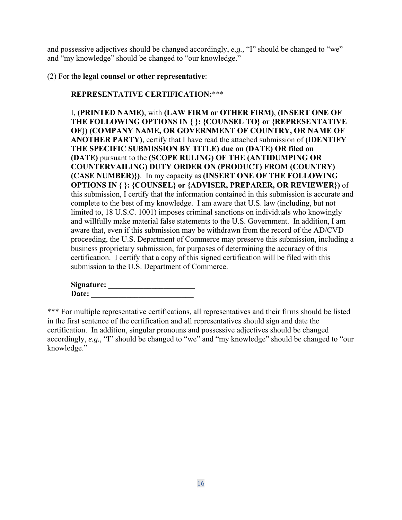and possessive adjectives should be changed accordingly, *e.g.,* "I" should be changed to "we" and "my knowledge" should be changed to "our knowledge."

### (2) For the **legal counsel or other representative**:

# **REPRESENTATIVE CERTIFICATION:**\*\*\*

I, **(PRINTED NAME)**, with **(LAW FIRM or OTHER FIRM)**, **(INSERT ONE OF THE FOLLOWING OPTIONS IN { }: {COUNSEL TO} or {REPRESENTATIVE OF}) (COMPANY NAME, OR GOVERNMENT OF COUNTRY, OR NAME OF ANOTHER PARTY)**, certify that I have read the attached submission of **(IDENTIFY THE SPECIFIC SUBMISSION BY TITLE) due on (DATE) OR filed on (DATE)** pursuant to the **(SCOPE RULING) OF THE (ANTIDUMPING OR COUNTERVAILING) DUTY ORDER ON (PRODUCT) FROM (COUNTRY) (CASE NUMBER)})**.In my capacity as **(INSERT ONE OF THE FOLLOWING OPTIONS IN { }: {COUNSEL} or {ADVISER, PREPARER, OR REVIEWER})** of this submission, I certify that the information contained in this submission is accurate and complete to the best of my knowledge. I am aware that U.S. law (including, but not limited to, 18 U.S.C. 1001) imposes criminal sanctions on individuals who knowingly and willfully make material false statements to the U.S. Government. In addition, I am aware that, even if this submission may be withdrawn from the record of the AD/CVD proceeding, the U.S. Department of Commerce may preserve this submission, including a business proprietary submission, for purposes of determining the accuracy of this certification. I certify that a copy of this signed certification will be filed with this submission to the U.S. Department of Commerce.

| Signature: |  |
|------------|--|
| Date:      |  |

\*\*\* For multiple representative certifications, all representatives and their firms should be listed in the first sentence of the certification and all representatives should sign and date the certification. In addition, singular pronouns and possessive adjectives should be changed accordingly, *e.g.,* "I" should be changed to "we" and "my knowledge" should be changed to "our knowledge."